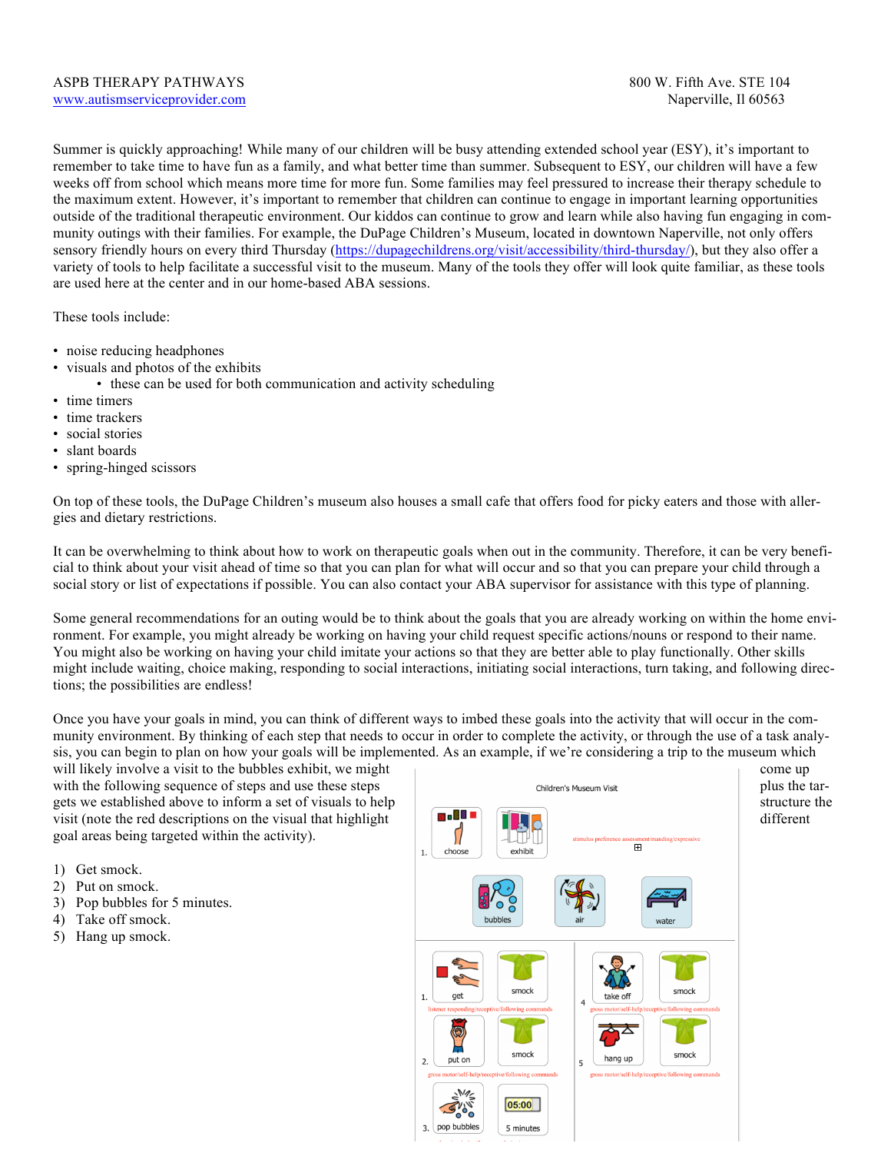Summer is quickly approaching! While many of our children will be busy attending extended school year (ESY), it's important to remember to take time to have fun as a family, and what better time than summer. Subsequent to ESY, our children will have a few weeks off from school which means more time for more fun. Some families may feel pressured to increase their therapy schedule to the maximum extent. However, it's important to remember that children can continue to engage in important learning opportunities outside of the traditional therapeutic environment. Our kiddos can continue to grow and learn while also having fun engaging in community outings with their families. For example, the DuPage Children's Museum, located in downtown Naperville, not only offers sensory friendly hours on every third Thursday (https://dupagechildrens.org/visit/accessibility/third-thursday/), but they also offer a variety of tools to help facilitate a successful visit to the museum. Many of the tools they offer will look quite familiar, as these tools are used here at the center and in our home-based ABA sessions.

These tools include:

- noise reducing headphones
- visuals and photos of the exhibits
	- these can be used for both communication and activity scheduling
- time timers
- time trackers
- social stories
- slant boards
- spring-hinged scissors

On top of these tools, the DuPage Children's museum also houses a small cafe that offers food for picky eaters and those with allergies and dietary restrictions.

It can be overwhelming to think about how to work on therapeutic goals when out in the community. Therefore, it can be very beneficial to think about your visit ahead of time so that you can plan for what will occur and so that you can prepare your child through a social story or list of expectations if possible. You can also contact your ABA supervisor for assistance with this type of planning.

Some general recommendations for an outing would be to think about the goals that you are already working on within the home environment. For example, you might already be working on having your child request specific actions/nouns or respond to their name. You might also be working on having your child imitate your actions so that they are better able to play functionally. Other skills might include waiting, choice making, responding to social interactions, initiating social interactions, turn taking, and following directions; the possibilities are endless!

Once you have your goals in mind, you can think of different ways to imbed these goals into the activity that will occur in the community environment. By thinking of each step that needs to occur in order to complete the activity, or through the use of a task analysis, you can begin to plan on how your goals will be implemented. As an example, if we're considering a trip to the museum which

will likely involve a visit to the bubbles exhibit, we might come up come up come up goal areas being targeted within the activity).

- 1) Get smock.
- 2) Put on smock.
- 3) Pop bubbles for 5 minutes.
- 4) Take off smock.
- 5) Hang up smock.